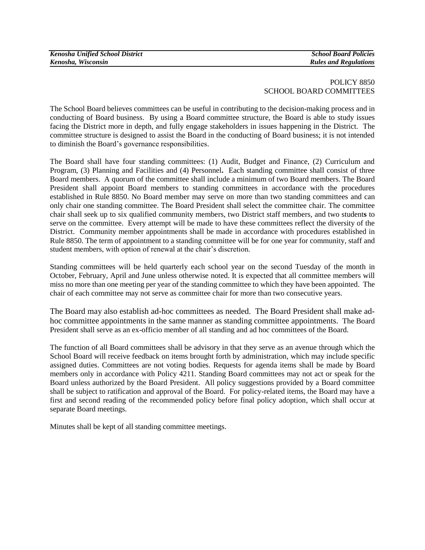| <b>Kenosha Unified School District</b> |
|----------------------------------------|
| Kenosha, Wisconsin                     |

## POLICY 8850 SCHOOL BOARD COMMITTEES

The School Board believes committees can be useful in contributing to the decision-making process and in conducting of Board business. By using a Board committee structure, the Board is able to study issues facing the District more in depth, and fully engage stakeholders in issues happening in the District. The committee structure is designed to assist the Board in the conducting of Board business; it is not intended to diminish the Board's governance responsibilities.

The Board shall have four standing committees: (1) Audit, Budget and Finance, (2) Curriculum and Program, (3) Planning and Facilities and (4) Personnel**.** Each standing committee shall consist of three Board members. A quorum of the committee shall include a minimum of two Board members. The Board President shall appoint Board members to standing committees in accordance with the procedures established in Rule 8850. No Board member may serve on more than two standing committees and can only chair one standing committee. The Board President shall select the committee chair. The committee chair shall seek up to six qualified community members, two District staff members, and two student**s** to serve on the committee. Every attempt will be made to have these committees reflect the diversity of the District. Community member appointments shall be made in accordance with procedures established in Rule 8850. The term of appointment to a standing committee will be for one year for community, staff and student members, with option of renewal at the chair's discretion.

Standing committees will be held quarterly each school year on the second Tuesday of the month in October, February, April and June unless otherwise noted. It is expected that all committee members will miss no more than one meeting per year of the standing committee to which they have been appointed. The chair of each committee may not serve as committee chair for more than two consecutive years.

The Board may also establish ad-hoc committees as needed. The Board President shall make adhoc committee appointments in the same manner as standing committee appointments. The Board President shall serve as an ex-officio member of all standing and ad hoc committees of the Board.

The function of all Board committees shall be advisory in that they serve as an avenue through which the School Board will receive feedback on items brought forth by administration, which may include specific assigned duties. Committees are not voting bodies. Requests for agenda items shall be made by Board members only in accordance with Policy 4211. Standing Board committees may not act or speak for the Board unless authorized by the Board President. All policy suggestions provided by a Board committee shall be subject to ratification and approval of the Board. For policy-related items, the Board may have a first and second reading of the recommended policy before final policy adoption, which shall occur at separate Board meetings.

Minutes shall be kept of all standing committee meetings.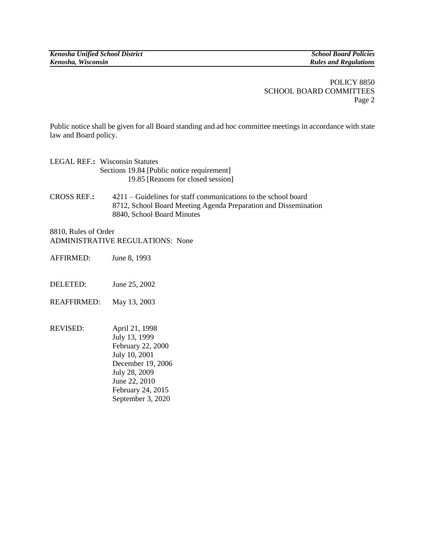POLICY 8850 SCHOOL BOARD COMMITTEES Page 2

Public notice shall be given for all Board standing and ad hoc committee meetings in accordance with state law and Board policy.

| <b>LEGAL REF.: Wisconsin Statutes</b>      |
|--------------------------------------------|
| Sections 19.84 [Public notice requirement] |
| 19.85 [Reasons for closed session]         |

CROSS REF.**:** 4211 – Guidelines for staff communications to the school board 8712, School Board Meeting Agenda Preparation and Dissemination 8840, School Board Minutes

8810, Rules of Order ADMINISTRATIVE REGULATIONS:None

- AFFIRMED:June 8, 1993
- DELETED: June 25, 2002
- REAFFIRMED: May 13, 2003
- REVISED: April 21, 1998 July 13, 1999 February 22, 2000 July 10, 2001 December 19, 2006 July 28, 2009 June 22, 2010 February 24, 2015 September 3, 2020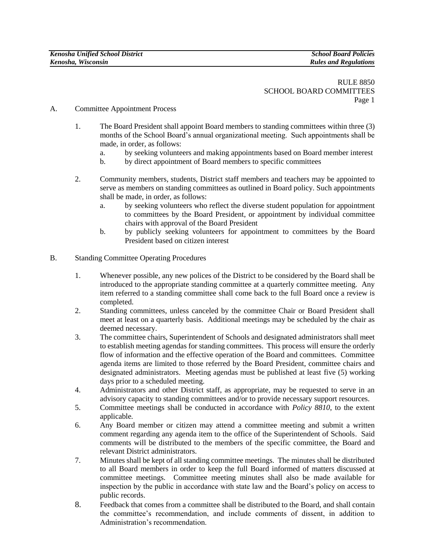RULE 8850 SCHOOL BOARD COMMITTEES Page 1

- A. Committee Appointment Process
	- 1. The Board President shall appoint Board members to standing committees within three (3) months of the School Board's annual organizational meeting. Such appointments shall be made, in order, as follows:
		- a. by seeking volunteers and making appointments based on Board member interest
		- b. by direct appointment of Board members to specific committees
	- 2. Community members, students, District staff members and teachers may be appointed to serve as members on standing committees as outlined in Board policy. Such appointments shall be made, in order, as follows:
		- a. by seeking volunteers who reflect the diverse student population for appointment to committees by the Board President, or appointment by individual committee chairs with approval of the Board President
		- b. by publicly seeking volunteers for appointment to committees by the Board President based on citizen interest
- B. Standing Committee Operating Procedures
	- 1. Whenever possible, any new polices of the District to be considered by the Board shall be introduced to the appropriate standing committee at a quarterly committee meeting. Any item referred to a standing committee shall come back to the full Board once a review is completed.
	- 2. Standing committees, unless canceled by the committee Chair or Board President shall meet at least on a quarterly basis. Additional meetings may be scheduled by the chair as deemed necessary.
	- 3. The committee chairs, Superintendent of Schools and designated administrators shall meet to establish meeting agendas for standing committees. This process will ensure the orderly flow of information and the effective operation of the Board and committees. Committee agenda items are limited to those referred by the Board President, committee chairs and designated administrators. Meeting agendas must be published at least five (5) working days prior to a scheduled meeting.
	- 4. Administrators and other District staff, as appropriate, may be requested to serve in an advisory capacity to standing committees and/or to provide necessary support resources.
	- 5. Committee meetings shall be conducted in accordance with *Policy 8810*, to the extent applicable*.*
	- 6. Any Board member or citizen may attend a committee meeting and submit a written comment regarding any agenda item to the office of the Superintendent of Schools. Said comments will be distributed to the members of the specific committee, the Board and relevant District administrators.
	- 7. Minutes shall be kept of all standing committee meetings. The minutes shall be distributed to all Board members in order to keep the full Board informed of matters discussed at committee meetings. Committee meeting minutes shall also be made available for inspection by the public in accordance with state law and the Board's policy on access to public records.
	- 8. Feedback that comes from a committee shall be distributed to the Board, and shall contain the committee's recommendation, and include comments of dissent, in addition to Administration's recommendation.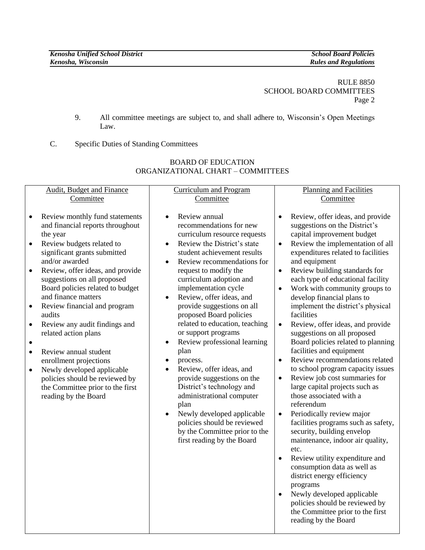RULE 8850 SCHOOL BOARD COMMITTEES Page 2

- 9. All committee meetings are subject to, and shall adhere to, Wisconsin's Open Meetings Law.
- C. Specific Duties of Standing Committees

| <b>Audit, Budget and Finance</b>                                                                                                                                                                                                                                                                                                                                                                                                                                                                                                                                                                                                                                                      | <b>Curriculum and Program</b>                                                                                                                                                                                                                                                                                                                                                                                                                                                                                                                                                                                                                                                                                                                                                                                      | <b>Planning and Facilities</b>                                                                                                                                                                                                                                                                                                                                                                                                                                                                                                                                                                                                                                                                                                                                                                                                                                                                                                                                                                                                                                                                                                                                                |
|---------------------------------------------------------------------------------------------------------------------------------------------------------------------------------------------------------------------------------------------------------------------------------------------------------------------------------------------------------------------------------------------------------------------------------------------------------------------------------------------------------------------------------------------------------------------------------------------------------------------------------------------------------------------------------------|--------------------------------------------------------------------------------------------------------------------------------------------------------------------------------------------------------------------------------------------------------------------------------------------------------------------------------------------------------------------------------------------------------------------------------------------------------------------------------------------------------------------------------------------------------------------------------------------------------------------------------------------------------------------------------------------------------------------------------------------------------------------------------------------------------------------|-------------------------------------------------------------------------------------------------------------------------------------------------------------------------------------------------------------------------------------------------------------------------------------------------------------------------------------------------------------------------------------------------------------------------------------------------------------------------------------------------------------------------------------------------------------------------------------------------------------------------------------------------------------------------------------------------------------------------------------------------------------------------------------------------------------------------------------------------------------------------------------------------------------------------------------------------------------------------------------------------------------------------------------------------------------------------------------------------------------------------------------------------------------------------------|
| Committee                                                                                                                                                                                                                                                                                                                                                                                                                                                                                                                                                                                                                                                                             | Committee                                                                                                                                                                                                                                                                                                                                                                                                                                                                                                                                                                                                                                                                                                                                                                                                          | Committee                                                                                                                                                                                                                                                                                                                                                                                                                                                                                                                                                                                                                                                                                                                                                                                                                                                                                                                                                                                                                                                                                                                                                                     |
| Review monthly fund statements<br>$\bullet$<br>and financial reports throughout<br>the year<br>Review budgets related to<br>$\bullet$<br>significant grants submitted<br>and/or awarded<br>Review, offer ideas, and provide<br>$\bullet$<br>suggestions on all proposed<br>Board policies related to budget<br>and finance matters<br>Review financial and program<br>$\bullet$<br>audits<br>Review any audit findings and<br>$\bullet$<br>related action plans<br>$\bullet$<br>Review annual student<br>$\bullet$<br>enrollment projections<br>Newly developed applicable<br>$\bullet$<br>policies should be reviewed by<br>the Committee prior to the first<br>reading by the Board | Review annual<br>$\bullet$<br>recommendations for new<br>curriculum resource requests<br>Review the District's state<br>$\bullet$<br>student achievement results<br>Review recommendations for<br>$\bullet$<br>request to modify the<br>curriculum adoption and<br>implementation cycle<br>Review, offer ideas, and<br>$\bullet$<br>provide suggestions on all<br>proposed Board policies<br>related to education, teaching<br>or support programs<br>Review professional learning<br>$\bullet$<br>plan<br>process.<br>$\bullet$<br>Review, offer ideas, and<br>$\bullet$<br>provide suggestions on the<br>District's technology and<br>administrational computer<br>plan<br>Newly developed applicable<br>$\bullet$<br>policies should be reviewed<br>by the Committee prior to the<br>first reading by the Board | Review, offer ideas, and provide<br>suggestions on the District's<br>capital improvement budget<br>Review the implementation of all<br>$\bullet$<br>expenditures related to facilities<br>and equipment<br>Review building standards for<br>$\bullet$<br>each type of educational facility<br>Work with community groups to<br>develop financial plans to<br>implement the district's physical<br>facilities<br>Review, offer ideas, and provide<br>$\bullet$<br>suggestions on all proposed<br>Board policies related to planning<br>facilities and equipment<br>Review recommendations related<br>$\bullet$<br>to school program capacity issues<br>Review job cost summaries for<br>$\bullet$<br>large capital projects such as<br>those associated with a<br>referendum<br>Periodically review major<br>$\bullet$<br>facilities programs such as safety,<br>security, building envelop<br>maintenance, indoor air quality,<br>etc.<br>Review utility expenditure and<br>consumption data as well as<br>district energy efficiency<br>programs<br>Newly developed applicable<br>policies should be reviewed by<br>the Committee prior to the first<br>reading by the Board |

## BOARD OF EDUCATION ORGANIZATIONAL CHART – COMMITTEES